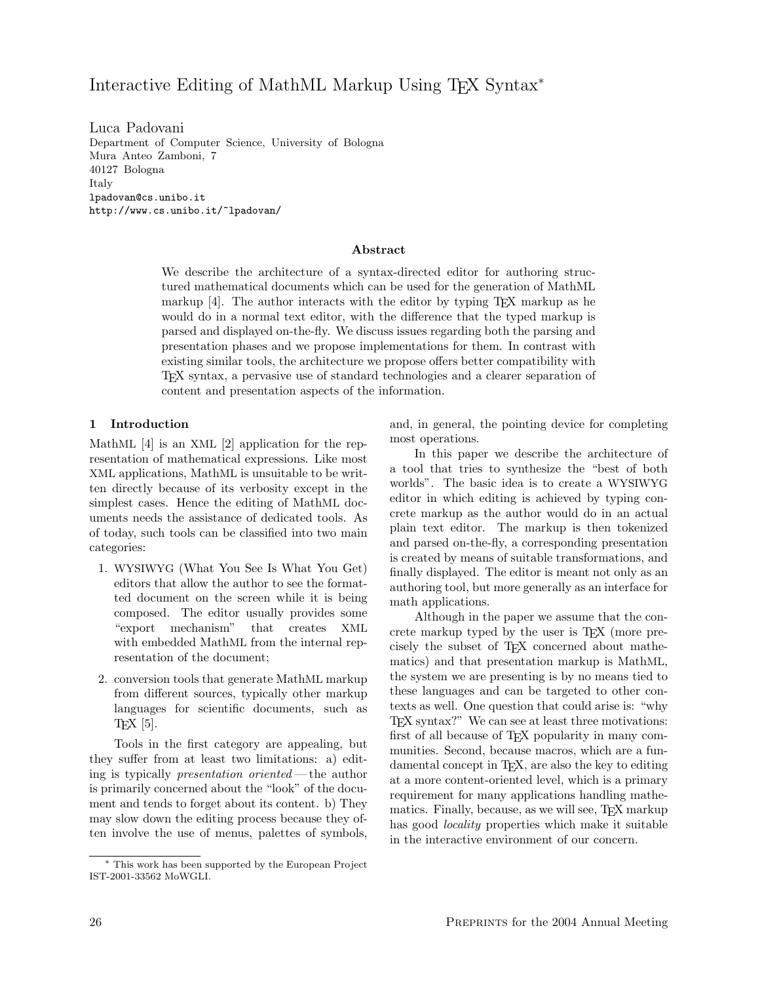# Interactive Editing of MathML Markup Using TEX Syntax<sup>∗</sup>

Luca Padovani Department of Computer Science, University of Bologna Mura Anteo Zamboni, 7 40127 Bologna Italy lpadovan@cs.unibo.it http://www.cs.unibo.it/~lpadovan/

## Abstract

We describe the architecture of a syntax-directed editor for authoring structured mathematical documents which can be used for the generation of MathML markup [4]. The author interacts with the editor by typing TEX markup as he would do in a normal text editor, with the difference that the typed markup is parsed and displayed on-the-fly. We discuss issues regarding both the parsing and presentation phases and we propose implementations for them. In contrast with existing similar tools, the architecture we propose offers better compatibility with TEX syntax, a pervasive use of standard technologies and a clearer separation of content and presentation aspects of the information.

## 1 Introduction

MathML [4] is an XML [2] application for the representation of mathematical expressions. Like most XML applications, MathML is unsuitable to be written directly because of its verbosity except in the simplest cases. Hence the editing of MathML documents needs the assistance of dedicated tools. As of today, such tools can be classified into two main categories:

- 1. WYSIWYG (What You See Is What You Get) editors that allow the author to see the formatted document on the screen while it is being composed. The editor usually provides some "export mechanism" that creates XML with embedded MathML from the internal representation of the document;
- 2. conversion tools that generate MathML markup from different sources, typically other markup languages for scientific documents, such as  $T_{E}X$  [5].

Tools in the first category are appealing, but they suffer from at least two limitations: a) editing is typically presentation oriented — the author is primarily concerned about the "look" of the document and tends to forget about its content. b) They may slow down the editing process because they often involve the use of menus, palettes of symbols, and, in general, the pointing device for completing most operations.

In this paper we describe the architecture of a tool that tries to synthesize the "best of both worlds". The basic idea is to create a WYSIWYG editor in which editing is achieved by typing concrete markup as the author would do in an actual plain text editor. The markup is then tokenized and parsed on-the-fly, a corresponding presentation is created by means of suitable transformations, and finally displayed. The editor is meant not only as an authoring tool, but more generally as an interface for math applications.

Although in the paper we assume that the concrete markup typed by the user is TEX (more precisely the subset of TEX concerned about mathematics) and that presentation markup is MathML, the system we are presenting is by no means tied to these languages and can be targeted to other contexts as well. One question that could arise is: "why TEX syntax?" We can see at least three motivations: first of all because of TEX popularity in many communities. Second, because macros, which are a fundamental concept in T<sub>E</sub>X, are also the key to editing at a more content-oriented level, which is a primary requirement for many applications handling mathematics. Finally, because, as we will see, T<sub>EX</sub> markup has good *locality* properties which make it suitable in the interactive environment of our concern.

<sup>∗</sup> This work has been supported by the European Project IST-2001-33562 MoWGLI.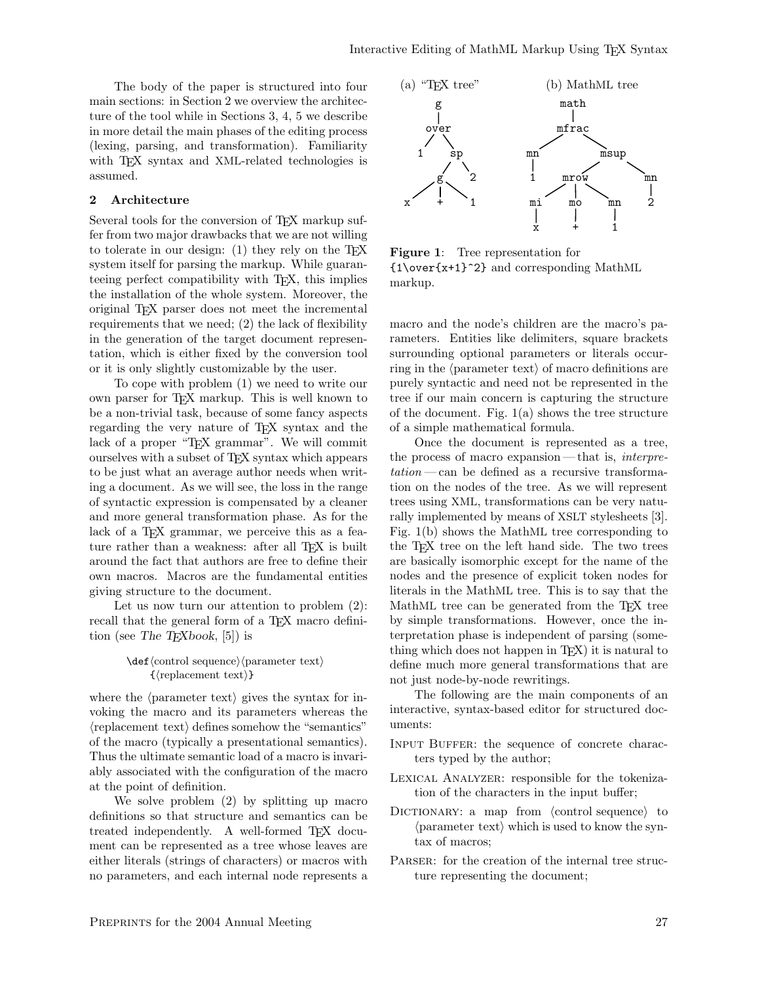The body of the paper is structured into four main sections: in Section 2 we overview the architecture of the tool while in Sections 3, 4, 5 we describe in more detail the main phases of the editing process (lexing, parsing, and transformation). Familiarity with T<sub>EX</sub> syntax and XML-related technologies is assumed.

## 2 Architecture

Several tools for the conversion of TEX markup suffer from two major drawbacks that we are not willing to tolerate in our design: (1) they rely on the TEX system itself for parsing the markup. While guaranteeing perfect compatibility with TEX, this implies the installation of the whole system. Moreover, the original TEX parser does not meet the incremental requirements that we need; (2) the lack of flexibility in the generation of the target document representation, which is either fixed by the conversion tool or it is only slightly customizable by the user.

To cope with problem (1) we need to write our own parser for TEX markup. This is well known to be a non-trivial task, because of some fancy aspects regarding the very nature of T<sub>E</sub>X syntax and the lack of a proper "TEX grammar". We will commit ourselves with a subset of TEX syntax which appears to be just what an average author needs when writing a document. As we will see, the loss in the range of syntactic expression is compensated by a cleaner and more general transformation phase. As for the lack of a TEX grammar, we perceive this as a feature rather than a weakness: after all T<sub>EX</sub> is built around the fact that authors are free to define their own macros. Macros are the fundamental entities giving structure to the document.

Let us now turn our attention to problem (2): recall that the general form of a TEX macro definition (see The T<sub>E</sub>Xbook, [5]) is

## $\det \{\text{control sequence}\$ parameter text $\rangle$  $\{\langle \text{replacement text} \rangle\}$

where the  $\langle$  parameter text $\rangle$  gives the syntax for invoking the macro and its parameters whereas the  $\langle$ replacement text $\rangle$  defines somehow the "semantics" of the macro (typically a presentational semantics). Thus the ultimate semantic load of a macro is invariably associated with the configuration of the macro at the point of definition.

We solve problem (2) by splitting up macro definitions so that structure and semantics can be treated independently. A well-formed T<sub>E</sub>X document can be represented as a tree whose leaves are either literals (strings of characters) or macros with no parameters, and each internal node represents a



Figure 1: Tree representation for {1\over{x+1}^2} and corresponding MathML markup.

macro and the node's children are the macro's parameters. Entities like delimiters, square brackets surrounding optional parameters or literals occurring in the  $\langle$  parameter text $\rangle$  of macro definitions are purely syntactic and need not be represented in the tree if our main concern is capturing the structure of the document. Fig.  $1(a)$  shows the tree structure of a simple mathematical formula.

Once the document is represented as a tree, the process of macro expansion — that is, interpre $tation$  — can be defined as a recursive transformation on the nodes of the tree. As we will represent trees using XML, transformations can be very naturally implemented by means of XSLT stylesheets [3]. Fig. 1(b) shows the MathML tree corresponding to the TEX tree on the left hand side. The two trees are basically isomorphic except for the name of the nodes and the presence of explicit token nodes for literals in the MathML tree. This is to say that the MathML tree can be generated from the T<sub>EX</sub> tree by simple transformations. However, once the interpretation phase is independent of parsing (something which does not happen in TEX) it is natural to define much more general transformations that are not just node-by-node rewritings.

The following are the main components of an interactive, syntax-based editor for structured documents:

- INPUT BUFFER: the sequence of concrete characters typed by the author;
- Lexical Analyzer: responsible for the tokenization of the characters in the input buffer;
- DICTIONARY: a map from  $\langle$  control sequence $\rangle$  to  $\langle$  parameter text $\rangle$  which is used to know the syntax of macros;
- PARSER: for the creation of the internal tree structure representing the document;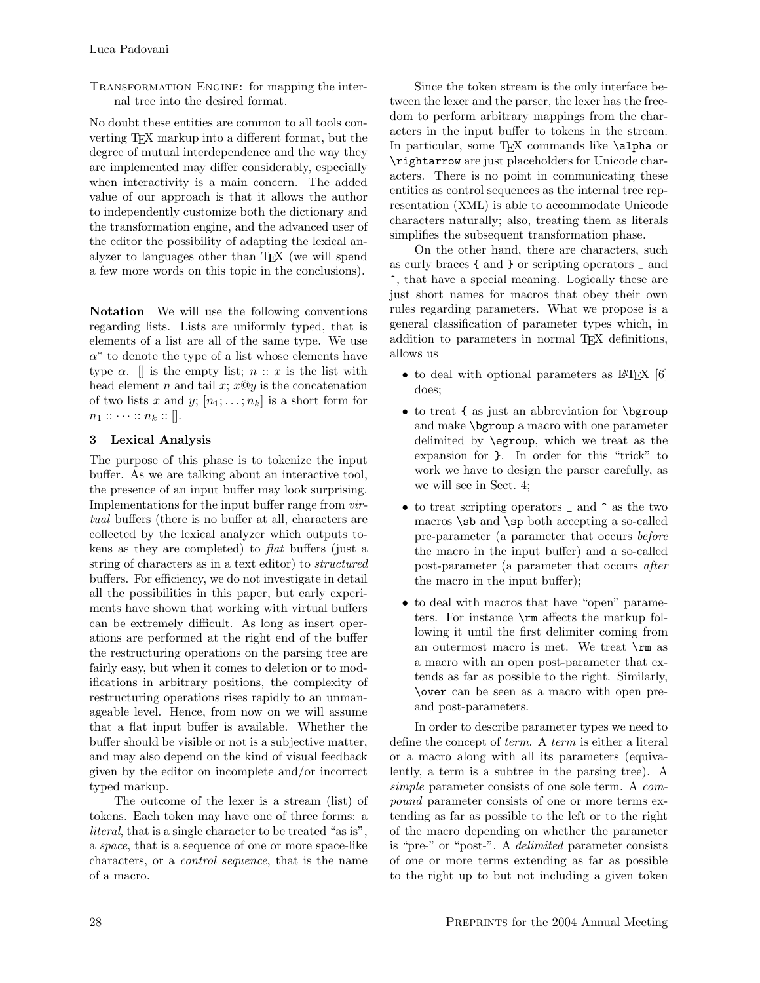Transformation Engine: for mapping the internal tree into the desired format.

No doubt these entities are common to all tools converting TEX markup into a different format, but the degree of mutual interdependence and the way they are implemented may differ considerably, especially when interactivity is a main concern. The added value of our approach is that it allows the author to independently customize both the dictionary and the transformation engine, and the advanced user of the editor the possibility of adapting the lexical analyzer to languages other than TEX (we will spend a few more words on this topic in the conclusions).

Notation We will use the following conventions regarding lists. Lists are uniformly typed, that is elements of a list are all of the same type. We use  $\alpha^*$  to denote the type of a list whose elements have type  $\alpha$ . [] is the empty list;  $n :: x$  is the list with head element n and tail x;  $x \mathbb{Q} y$  is the concatenation of two lists x and y;  $[n_1; \ldots; n_k]$  is a short form for  $n_1 :: \cdots :: n_k :: []$ .

## 3 Lexical Analysis

The purpose of this phase is to tokenize the input buffer. As we are talking about an interactive tool, the presence of an input buffer may look surprising. Implementations for the input buffer range from virtual buffers (there is no buffer at all, characters are collected by the lexical analyzer which outputs tokens as they are completed) to flat buffers (just a string of characters as in a text editor) to structured buffers. For efficiency, we do not investigate in detail all the possibilities in this paper, but early experiments have shown that working with virtual buffers can be extremely difficult. As long as insert operations are performed at the right end of the buffer the restructuring operations on the parsing tree are fairly easy, but when it comes to deletion or to modifications in arbitrary positions, the complexity of restructuring operations rises rapidly to an unmanageable level. Hence, from now on we will assume that a flat input buffer is available. Whether the buffer should be visible or not is a subjective matter, and may also depend on the kind of visual feedback given by the editor on incomplete and/or incorrect typed markup.

The outcome of the lexer is a stream (list) of tokens. Each token may have one of three forms: a literal, that is a single character to be treated "as is", a space, that is a sequence of one or more space-like characters, or a control sequence, that is the name of a macro.

Since the token stream is the only interface between the lexer and the parser, the lexer has the freedom to perform arbitrary mappings from the characters in the input buffer to tokens in the stream. In particular, some T<sub>EX</sub> commands like **\alpha** or \rightarrow are just placeholders for Unicode characters. There is no point in communicating these entities as control sequences as the internal tree representation (XML) is able to accommodate Unicode characters naturally; also, treating them as literals simplifies the subsequent transformation phase.

On the other hand, there are characters, such as curly braces { and } or scripting operators \_ and ^, that have a special meaning. Logically these are just short names for macros that obey their own rules regarding parameters. What we propose is a general classification of parameter types which, in addition to parameters in normal TEX definitions, allows us

- $\bullet$  to deal with optional parameters as  $\mathbb{F}[\mathbb{F}X]$  [6] does;
- to treat { as just an abbreviation for \bgroup and make \bgroup a macro with one parameter delimited by \egroup, which we treat as the expansion for }. In order for this "trick" to work we have to design the parser carefully, as we will see in Sect. 4;
- to treat scripting operators \_ and  $\hat{\ }$  as the two macros \sb and \sp both accepting a so-called pre-parameter (a parameter that occurs before the macro in the input buffer) and a so-called post-parameter (a parameter that occurs after the macro in the input buffer);
- to deal with macros that have "open" parameters. For instance \rm affects the markup following it until the first delimiter coming from an outermost macro is met. We treat \rm as a macro with an open post-parameter that extends as far as possible to the right. Similarly, \over can be seen as a macro with open preand post-parameters.

In order to describe parameter types we need to define the concept of term. A term is either a literal or a macro along with all its parameters (equivalently, a term is a subtree in the parsing tree). A simple parameter consists of one sole term. A compound parameter consists of one or more terms extending as far as possible to the left or to the right of the macro depending on whether the parameter is "pre-" or "post-". A *delimited* parameter consists of one or more terms extending as far as possible to the right up to but not including a given token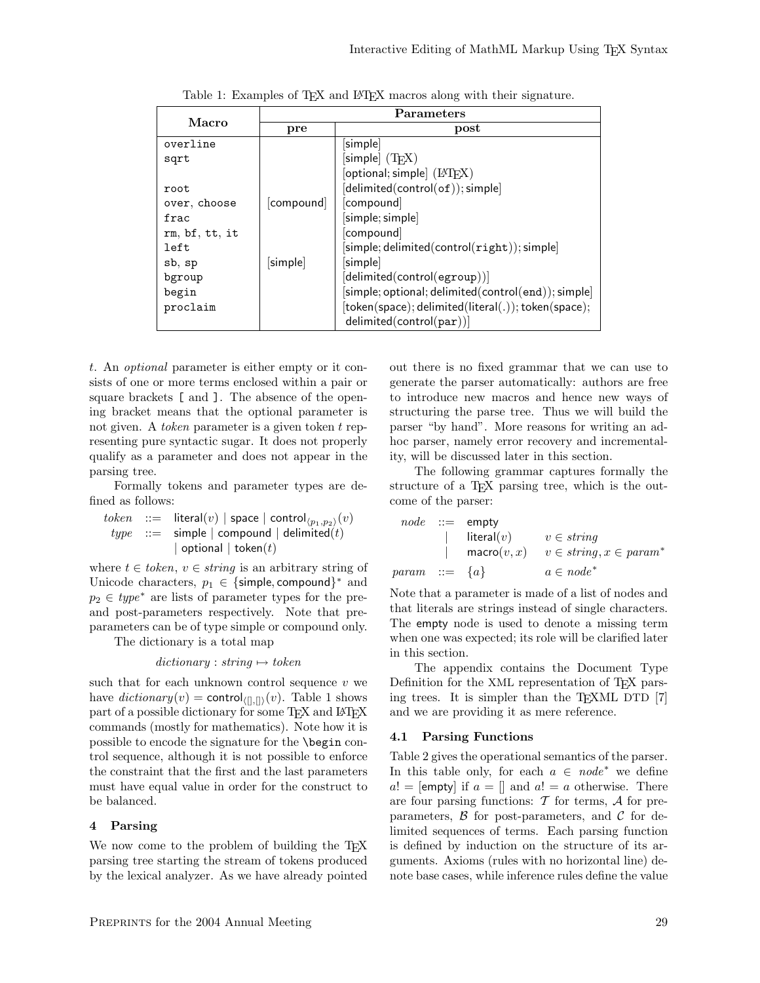|                | Parameters |                                                                                          |  |  |
|----------------|------------|------------------------------------------------------------------------------------------|--|--|
| Macro          | pre        | post                                                                                     |  |  |
| overline       |            | simple                                                                                   |  |  |
| sqrt           |            | $[simple]$ $(TEX)$                                                                       |  |  |
|                |            | [optional; simple] $(14T_FX)$                                                            |  |  |
| root           |            | [delimited(control(of)); simple]                                                         |  |  |
| over, choose   | [compound] | $\left[$ compound $\right]$                                                              |  |  |
| frac           |            | [simple; simple]                                                                         |  |  |
| rm, bf, tt, it |            | $\left[$ compound $\right]$                                                              |  |  |
| left.          |            | $[simple; delimited (control(right)); simple]$                                           |  |  |
| sb, sp         | [simple]   | $ \mathsf{simple} $                                                                      |  |  |
| bgroup         |            | [delimited(control(egroup))]                                                             |  |  |
| begin          |            | $[simple; \text{optional}; \text{delimited}(\text{control}(\text{end})); \text{simple}]$ |  |  |
| proclaim       |            | $[token(space);delimited(literal(.)); token(space);$                                     |  |  |
|                |            | delimited(control(par))                                                                  |  |  |

Table 1: Examples of TEX and LATEX macros along with their signature.

t. An optional parameter is either empty or it consists of one or more terms enclosed within a pair or square brackets [ and ]. The absence of the opening bracket means that the optional parameter is not given. A *token* parameter is a given token t representing pure syntactic sugar. It does not properly qualify as a parameter and does not appear in the parsing tree.

Formally tokens and parameter types are defined as follows:

| $token$             | ::= literal(v)   space   control <sub>(p_1,p_2)</sub> (v) |
|---------------------|-----------------------------------------------------------|
| $type$              | ::= simple   compound   delimited(t)                      |
| optional   token(t) |                                                           |

where  $t \in \text{token}, v \in \text{string}$  is an arbitrary string of Unicode characters,  $p_1 \in \{\text{simple}, \text{compound}\}^*$  and  $p_2 \in type^*$  are lists of parameter types for the preand post-parameters respectively. Note that preparameters can be of type simple or compound only.

The dictionary is a total map

## $dictionary: string \mapsto token$

such that for each unknown control sequence  $v$  we have  $dictionary(v) = \text{control}_{\langle[] ,[] \rangle}(v)$ . Table 1 shows part of a possible dictionary for some TFX and LATFX commands (mostly for mathematics). Note how it is possible to encode the signature for the \begin control sequence, although it is not possible to enforce the constraint that the first and the last parameters must have equal value in order for the construct to be balanced.

## 4 Parsing

We now come to the problem of building the T<sub>EX</sub> parsing tree starting the stream of tokens produced by the lexical analyzer. As we have already pointed out there is no fixed grammar that we can use to generate the parser automatically: authors are free to introduce new macros and hence new ways of structuring the parse tree. Thus we will build the parser "by hand". More reasons for writing an adhoc parser, namely error recovery and incrementality, will be discussed later in this section.

The following grammar captures formally the structure of a T<sub>EX</sub> parsing tree, which is the outcome of the parser:

node ::= empty  
\n| literal(v) 
$$
v \in string
$$
  
\n| macro(v, x)  $v \in string, x \in param^*$   
\nparam ::= {a}  $a \in node^*$ 

Note that a parameter is made of a list of nodes and that literals are strings instead of single characters. The empty node is used to denote a missing term when one was expected; its role will be clarified later in this section.

The appendix contains the Document Type Definition for the XML representation of TEX parsing trees. It is simpler than the  $TFXML DTD [7]$ and we are providing it as mere reference.

## 4.1 Parsing Functions

Table 2 gives the operational semantics of the parser. In this table only, for each  $a \in node^*$  we define  $a! =$  [empty] if  $a = []$  and  $a! = a$  otherwise. There are four parsing functions:  $\mathcal T$  for terms,  $\mathcal A$  for preparameters,  $\beta$  for post-parameters, and  $\beta$  for delimited sequences of terms. Each parsing function is defined by induction on the structure of its arguments. Axioms (rules with no horizontal line) denote base cases, while inference rules define the value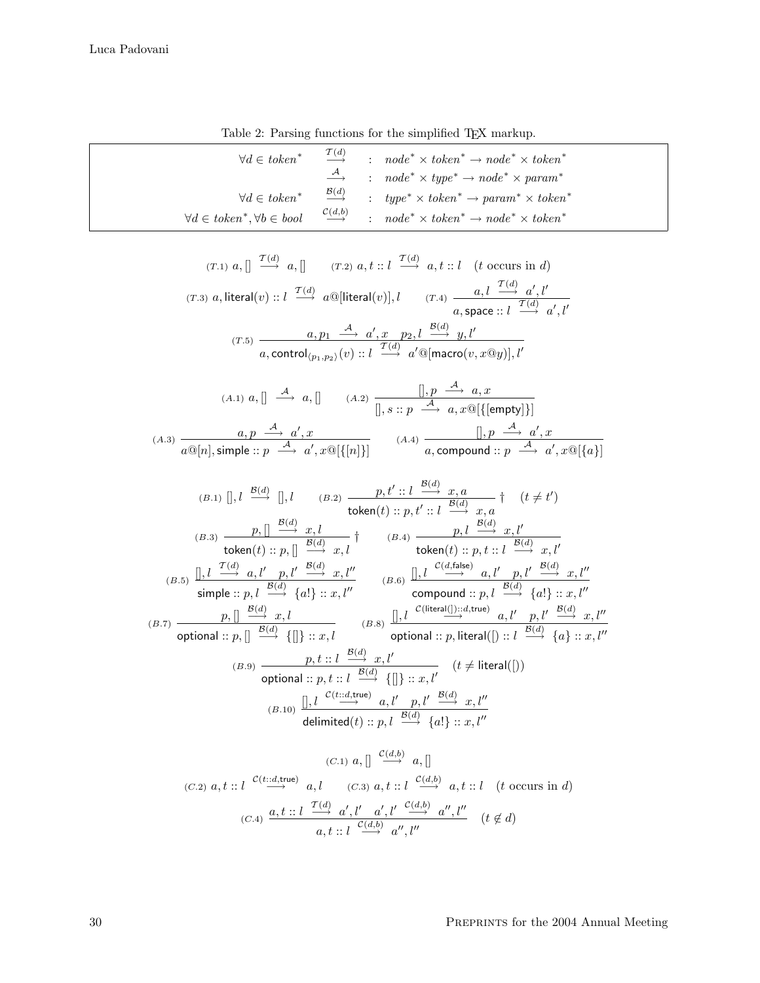Table 2: Parsing functions for the simplified TEX markup.

|  | $\forall d \in token^* \quad \stackrel{\mathcal{T}(d)}{\longrightarrow} \quad : \quad node^* \times token^* \rightarrow node^* \times token^*$                      |
|--|---------------------------------------------------------------------------------------------------------------------------------------------------------------------|
|  | $\stackrel{\mathcal{A}}{\longrightarrow}$ : node <sup>*</sup> $\times$ type <sup>*</sup> $\rightarrow$ node <sup>*</sup> $\times$ param <sup>*</sup>                |
|  | $\forall d \in token^* \quad \stackrel{\mathcal{B}(d)}{\longrightarrow} \quad : \quad type^* \times token^* \rightarrow param^* \times token^*$                     |
|  | $\forall d \in token^*, \forall b \in bool \quad \overset{\mathcal{C}(d,b)}{\longrightarrow} \quad : \quad node^* \times token^* \rightarrow node^* \times token^*$ |

$$
(T.1) \ a, \bigr] \quad \frac{\tau(d)}{d} \ a, \bigr] \qquad (T.2) \ a, t :: l \quad \frac{\tau(d)}{d} \ a, t :: l \quad (t \text{ occurs in } d)
$$
\n
$$
(T.3) \ a, \text{literal}(v) :: l \quad \frac{\tau(d)}{d} \ a \text{@[literal}(v)], l \qquad (T.4) \ \frac{a, l \quad \frac{\tau(d)}{d} \ a', l'}{a, \text{space} :: l \quad \frac{\tau(d)}{d} \ a', l'}
$$
\n
$$
(T.5) \ \frac{a, p_1 \quad \frac{\mathcal{A}}{d} \ a', x \quad p_2, l \quad \frac{\mathcal{B}(d)}{d} \ y, l'}{a, \text{control}(p_1, p_2)}(v) :: l \quad \frac{\tau(d)}{d} \ a' \text{@[macro}(v, x \text{@}y)], l'
$$
\n
$$
(A.1) \ a, \bigr] \quad \frac{\mathcal{A}}{d} \ a, \bigr] \qquad (A.2) \quad \frac{\parallel, p \quad \frac{\mathcal{A}}{d} \ a, x}{\parallel, s :: p \quad \frac{\mathcal{A}}{d} \ a, x \text{@}[\{\text{empty}]\}\}\bigg]
$$
\n
$$
(A.3) \ \frac{a, p \quad \frac{\mathcal{A}}{d} \ a', x}{a \text{@}[n], \text{simple} :: p \quad \frac{\mathcal{A}}{d} \ a', x \text{@}[\{n\}]\} \qquad (A.4) \quad \frac{\parallel, p \quad \frac{\mathcal{A}}{d} \ a', x}{a, \text{compound} :: p \quad \frac{\mathcal{A}}{d} \ a', x \text{@}[\{a\}]}
$$
\n
$$
(B.1) \ \bigr], l \quad \frac{\mathcal{B}(d)}{d} \ \bigr], l \qquad (B.2) \quad \frac{p, l' :: l \quad \frac{\mathcal{B}(d)}{d} \ x, a}{\text{token}(t) :: p, t' :: l \quad \frac{\mathcal{B}(d)}{d} \ x, a} \ \dagger \quad (t \neq t')
$$
\n
$$
(B.3) \quad \frac{p, \bigr| \ \frac{\mathcal{B}(d)}{d} \ x, l}{\text{token}(t) :: p, \bigr| \ \frac{\mathcal{B}(d)}
$$

(C.2) 
$$
a, t :: l \xrightarrow{C(t::d, true)} a, l \xrightarrow{(C.3)} a, t :: l \xrightarrow{C(d,b)} a, t :: l \ttext{ occurs in } d)
$$
  
\n(C.4)  $\frac{a, t :: l \xrightarrow{\mathcal{T}(d)} a', l' \xrightarrow{\alpha', l'} \xrightarrow{C(d,b)} a'', l''}{a, t :: l \xrightarrow{C(d,b)} a'', l''}$   $(t \notin d)$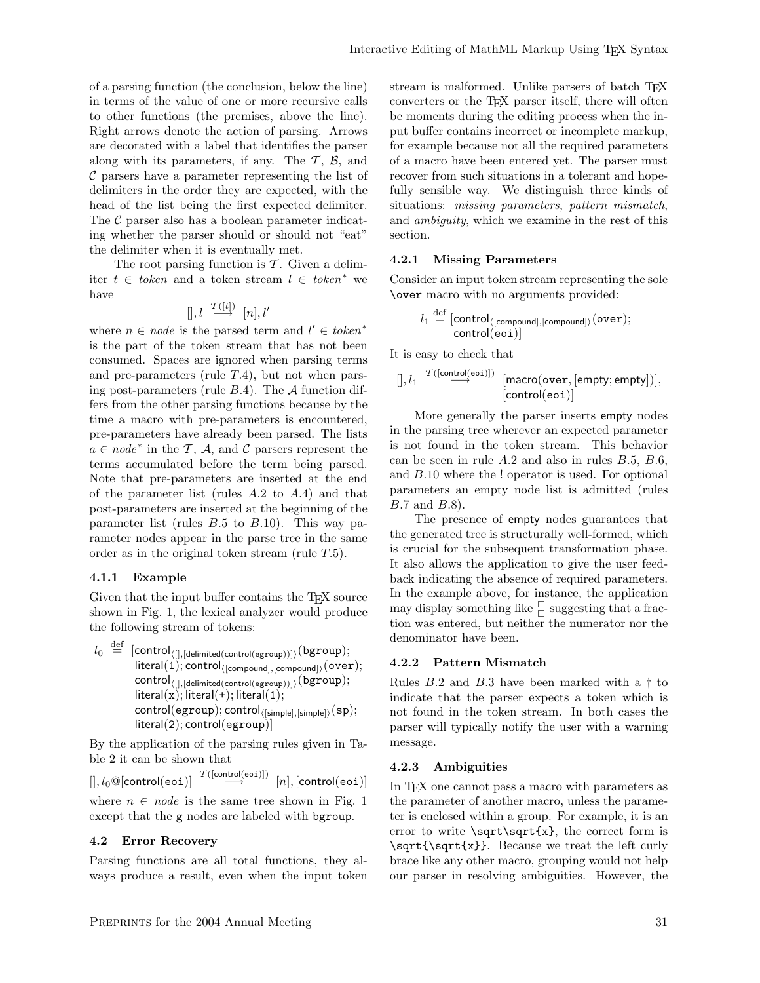of a parsing function (the conclusion, below the line) in terms of the value of one or more recursive calls to other functions (the premises, above the line). Right arrows denote the action of parsing. Arrows are decorated with a label that identifies the parser along with its parameters, if any. The  $\mathcal{T}$ ,  $\mathcal{B}$ , and  $\mathcal C$  parsers have a parameter representing the list of delimiters in the order they are expected, with the head of the list being the first expected delimiter. The C parser also has a boolean parameter indicating whether the parser should or should not "eat" the delimiter when it is eventually met.

The root parsing function is  $\mathcal T$ . Given a delimiter  $t \in token$  and a token stream  $l \in token^*$  we have

$$
[], l \stackrel{\mathcal{T}([t])}{\longrightarrow} [n], l'
$$

where  $n \in node$  is the parsed term and  $l' \in token^*$ is the part of the token stream that has not been consumed. Spaces are ignored when parsing terms and pre-parameters (rule  $T.4$ ), but not when parsing post-parameters (rule  $B.4$ ). The  $A$  function differs from the other parsing functions because by the time a macro with pre-parameters is encountered, pre-parameters have already been parsed. The lists  $a \in node^*$  in the T, A, and C parsers represent the terms accumulated before the term being parsed. Note that pre-parameters are inserted at the end of the parameter list (rules A.2 to A.4) and that post-parameters are inserted at the beginning of the parameter list (rules B.5 to B.10). This way parameter nodes appear in the parse tree in the same order as in the original token stream (rule T.5).

#### 4.1.1 Example

Given that the input buffer contains the TEX source shown in Fig. 1, the lexical analyzer would produce the following stream of tokens:

 $l_0\ \stackrel{\mathrm{def}}{=} \ [\textsf{control}_{\langle[],[\textsf{delimited}(\textsf{control}(\mathtt{egroup}))]\rangle}(\mathtt{bgroup});$  $literal(1); control_{\langle[compound],[compound]\rangle}(over);$  $control_{([[,[{\rm{delimited}}(\rm{control}(\rm{egroup}))])}(bgroup);$  $literal(x); literal(+); literal(1);$ control(egroup); control( $_{\text{(simple]},\text{(simple]})}(sp)$ ; literal(2); control(egroup)]

By the application of the parsing rules given in Table 2 it can be shown that

 $[], l_0 @ [\mathsf{control(eoi)}] \xrightarrow{\mathcal{T}([\mathsf{control(eoi)}])}$  $[n]$ ,  $[control(eoi)]$ 

where  $n \in node$  is the same tree shown in Fig. 1 except that the g nodes are labeled with bgroup.

#### 4.2 Error Recovery

Parsing functions are all total functions, they always produce a result, even when the input token stream is malformed. Unlike parsers of batch TFX converters or the TEX parser itself, there will often be moments during the editing process when the input buffer contains incorrect or incomplete markup, for example because not all the required parameters of a macro have been entered yet. The parser must recover from such situations in a tolerant and hopefully sensible way. We distinguish three kinds of situations: missing parameters, pattern mismatch, and ambiguity, which we examine in the rest of this section.

#### 4.2.1 Missing Parameters

Consider an input token stream representing the sole \over macro with no arguments provided:

$$
l_1 \stackrel{\text{def}}{=} [\text{control}_{\langle[\text{compound}],[\text{compound}]\rangle}(\text{over});\\ \text{control}(\text{eoi})]
$$

It is easy to check that

$$
[], l_1 \xrightarrow{\mathcal{T}([\text{control}(eoi)])} [\text{macro}(over, [empty; empty]), \\ [\text{control}(eoi)]
$$

More generally the parser inserts empty nodes in the parsing tree wherever an expected parameter is not found in the token stream. This behavior can be seen in rule  $A.2$  and also in rules  $B.5$ ,  $B.6$ , and B.10 where the ! operator is used. For optional parameters an empty node list is admitted (rules B.7 and B.8).

The presence of empty nodes guarantees that the generated tree is structurally well-formed, which is crucial for the subsequent transformation phase. It also allows the application to give the user feedback indicating the absence of required parameters. In the example above, for instance, the application may display something like  $\frac{\Box}{\Box}$  suggesting that a fraction was entered, but neither the numerator nor the denominator have been.

#### 4.2.2 Pattern Mismatch

Rules  $B.2$  and  $B.3$  have been marked with a  $\dagger$  to indicate that the parser expects a token which is not found in the token stream. In both cases the parser will typically notify the user with a warning message.

#### 4.2.3 Ambiguities

In T<sub>F</sub>X one cannot pass a macro with parameters as the parameter of another macro, unless the parameter is enclosed within a group. For example, it is an error to write  $\sqrt{\sqrt{x}},$  the correct form is \sqrt{\sqrt{x}}. Because we treat the left curly brace like any other macro, grouping would not help our parser in resolving ambiguities. However, the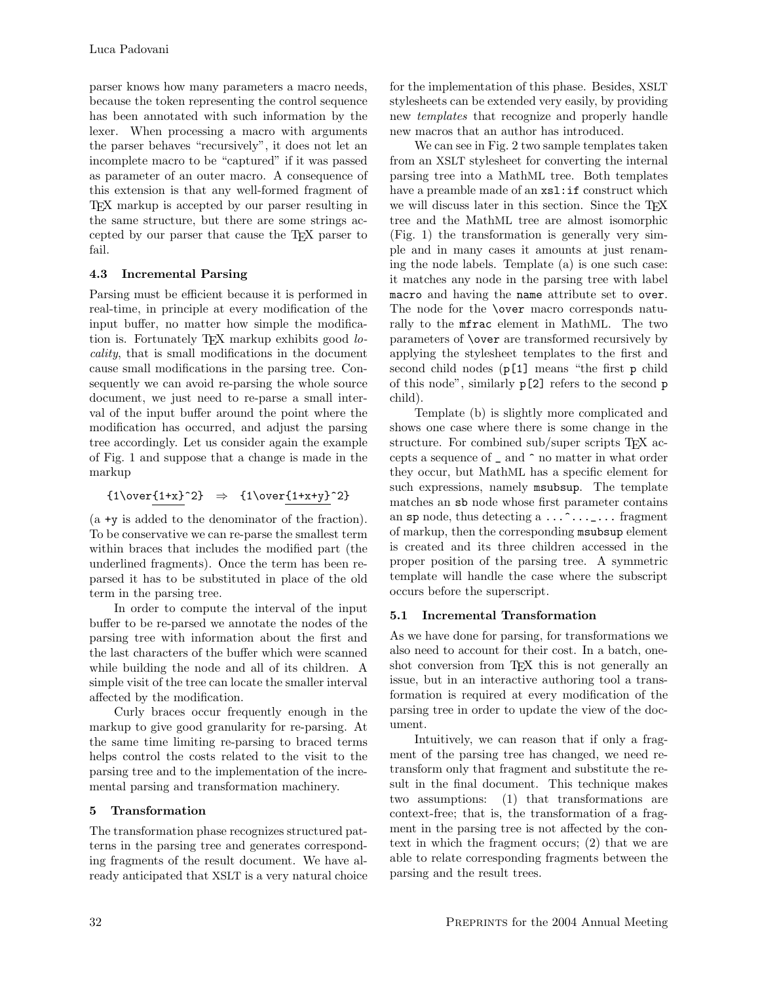parser knows how many parameters a macro needs, because the token representing the control sequence has been annotated with such information by the lexer. When processing a macro with arguments the parser behaves "recursively", it does not let an incomplete macro to be "captured" if it was passed as parameter of an outer macro. A consequence of this extension is that any well-formed fragment of TEX markup is accepted by our parser resulting in the same structure, but there are some strings accepted by our parser that cause the TEX parser to fail.

## 4.3 Incremental Parsing

Parsing must be efficient because it is performed in real-time, in principle at every modification of the input buffer, no matter how simple the modification is. Fortunately TEX markup exhibits good locality, that is small modifications in the document cause small modifications in the parsing tree. Consequently we can avoid re-parsing the whole source document, we just need to re-parse a small interval of the input buffer around the point where the modification has occurred, and adjust the parsing tree accordingly. Let us consider again the example of Fig. 1 and suppose that a change is made in the markup

$$
{1\over{1+x}^2} \Rightarrow {1\over{1+x+y}^2}
$$

(a +y is added to the denominator of the fraction). To be conservative we can re-parse the smallest term within braces that includes the modified part (the underlined fragments). Once the term has been reparsed it has to be substituted in place of the old term in the parsing tree.

In order to compute the interval of the input buffer to be re-parsed we annotate the nodes of the parsing tree with information about the first and the last characters of the buffer which were scanned while building the node and all of its children. A simple visit of the tree can locate the smaller interval affected by the modification.

Curly braces occur frequently enough in the markup to give good granularity for re-parsing. At the same time limiting re-parsing to braced terms helps control the costs related to the visit to the parsing tree and to the implementation of the incremental parsing and transformation machinery.

## 5 Transformation

The transformation phase recognizes structured patterns in the parsing tree and generates corresponding fragments of the result document. We have already anticipated that XSLT is a very natural choice for the implementation of this phase. Besides, XSLT stylesheets can be extended very easily, by providing new *templates* that recognize and properly handle new macros that an author has introduced.

We can see in Fig. 2 two sample templates taken from an XSLT stylesheet for converting the internal parsing tree into a MathML tree. Both templates have a preamble made of an  $xs1:$ **if** construct which we will discuss later in this section. Since the T<sub>E</sub>X tree and the MathML tree are almost isomorphic (Fig. 1) the transformation is generally very simple and in many cases it amounts at just renaming the node labels. Template (a) is one such case: it matches any node in the parsing tree with label macro and having the name attribute set to over. The node for the **\over** macro corresponds naturally to the mfrac element in MathML. The two parameters of \over are transformed recursively by applying the stylesheet templates to the first and second child nodes (p[1] means "the first p child of this node", similarly p[2] refers to the second p child).

Template (b) is slightly more complicated and shows one case where there is some change in the structure. For combined sub/super scripts T<sub>EX</sub> accepts a sequence of \_ and ^ no matter in what order they occur, but MathML has a specific element for such expressions, namely msubsup. The template matches an sb node whose first parameter contains an sp node, thus detecting  $a \ldots$ <sup> $\ldots$ </sup>...\_... fragment of markup, then the corresponding msubsup element is created and its three children accessed in the proper position of the parsing tree. A symmetric template will handle the case where the subscript occurs before the superscript.

## 5.1 Incremental Transformation

As we have done for parsing, for transformations we also need to account for their cost. In a batch, oneshot conversion from T<sub>E</sub>X this is not generally an issue, but in an interactive authoring tool a transformation is required at every modification of the parsing tree in order to update the view of the document.

Intuitively, we can reason that if only a fragment of the parsing tree has changed, we need retransform only that fragment and substitute the result in the final document. This technique makes two assumptions: (1) that transformations are context-free; that is, the transformation of a fragment in the parsing tree is not affected by the context in which the fragment occurs; (2) that we are able to relate corresponding fragments between the parsing and the result trees.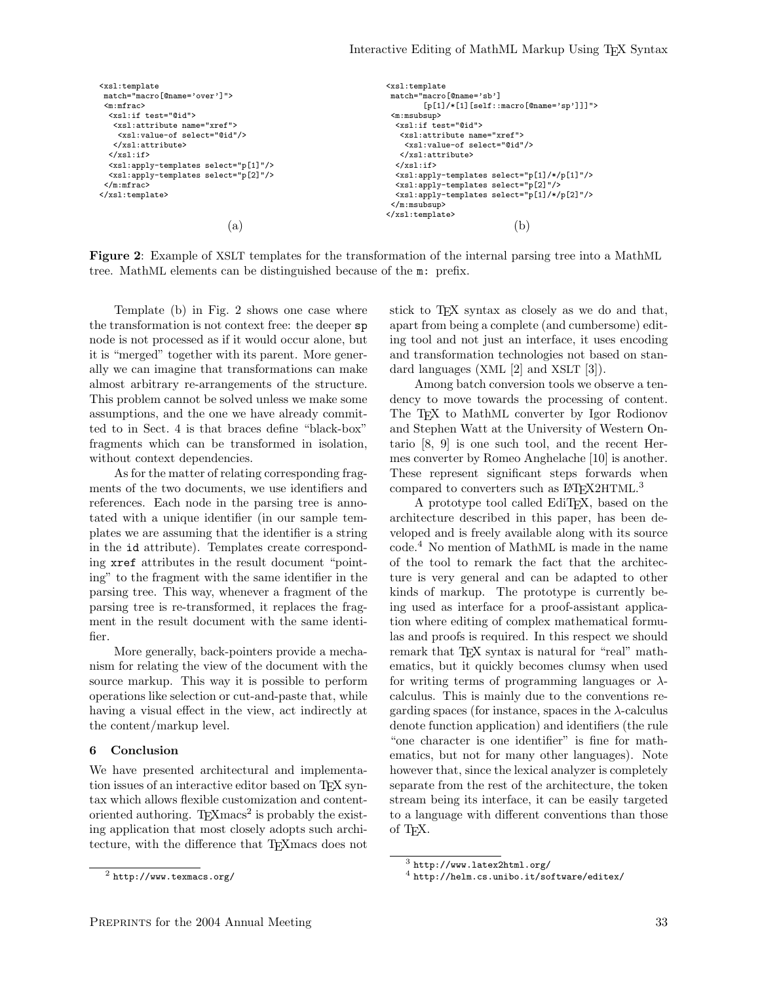```
<xsl:template
match="macro[@name='over']">
 <sub>m:mfrac</sub></sub>
  <xsl:if test="@id">
   <xsl:attribute name="xref">
    <xsl:value-of select="@id"/>
   </xsl:attribute>
  \langle xsl:if\rangle<xsl:apply-templates select="p[1]"/>
 <xsl:apply-templates select="p[2]"/>
 </m:mfrac>
</xsl:template>
                                                             <xsl:template
                                                              match="macro[@name='sb']
                                                                     [p[1]/*[1][self::macro[@name='sp']]]"<m:msubsup>
                                                               <xsl:if test="@id">
                                                                <xsl:attribute name="xref">
                                                                 <xsl:value-of select="@id"/>
                                                                </xsl:attribute>
                                                               \langle xsl:if\rangle<xsl:apply-templates select="p[1]/*/p[1]"/>
                                                               <xsl:apply-templates select="p[2]"/>
                                                               <xsl:apply-templates select="p[1]/*/p[2]"/>
                                                              </m:msubsup>
                                                             </xsl:template>
                           (a) (b)
```
Figure 2: Example of XSLT templates for the transformation of the internal parsing tree into a MathML tree. MathML elements can be distinguished because of the m: prefix.

Template (b) in Fig. 2 shows one case where the transformation is not context free: the deeper sp node is not processed as if it would occur alone, but it is "merged" together with its parent. More generally we can imagine that transformations can make almost arbitrary re-arrangements of the structure. This problem cannot be solved unless we make some assumptions, and the one we have already committed to in Sect. 4 is that braces define "black-box" fragments which can be transformed in isolation, without context dependencies.

As for the matter of relating corresponding fragments of the two documents, we use identifiers and references. Each node in the parsing tree is annotated with a unique identifier (in our sample templates we are assuming that the identifier is a string in the id attribute). Templates create corresponding xref attributes in the result document "pointing" to the fragment with the same identifier in the parsing tree. This way, whenever a fragment of the parsing tree is re-transformed, it replaces the fragment in the result document with the same identifier.

More generally, back-pointers provide a mechanism for relating the view of the document with the source markup. This way it is possible to perform operations like selection or cut-and-paste that, while having a visual effect in the view, act indirectly at the content/markup level.

## 6 Conclusion

We have presented architectural and implementation issues of an interactive editor based on TEX syntax which allows flexible customization and contentoriented authoring.  $T_{\text{E}}\text{X}\text{macs}^2$  is probably the existing application that most closely adopts such architecture, with the difference that TEXmacs does not stick to T<sub>F</sub>X syntax as closely as we do and that, apart from being a complete (and cumbersome) editing tool and not just an interface, it uses encoding and transformation technologies not based on standard languages (XML [2] and XSLT [3]).

Among batch conversion tools we observe a tendency to move towards the processing of content. The T<sub>E</sub>X to MathML converter by Igor Rodionov and Stephen Watt at the University of Western Ontario [8, 9] is one such tool, and the recent Hermes converter by Romeo Anghelache [10] is another. These represent significant steps forwards when compared to converters such as  $L^{2}TEX2HTML$ .<sup>3</sup>

A prototype tool called EdiTEX, based on the architecture described in this paper, has been developed and is freely available along with its source code.<sup>4</sup> No mention of MathML is made in the name of the tool to remark the fact that the architecture is very general and can be adapted to other kinds of markup. The prototype is currently being used as interface for a proof-assistant application where editing of complex mathematical formulas and proofs is required. In this respect we should remark that T<sub>F</sub>X syntax is natural for "real" mathematics, but it quickly becomes clumsy when used for writing terms of programming languages or  $\lambda$ calculus. This is mainly due to the conventions regarding spaces (for instance, spaces in the  $\lambda$ -calculus denote function application) and identifiers (the rule "one character is one identifier" is fine for mathematics, but not for many other languages). Note however that, since the lexical analyzer is completely separate from the rest of the architecture, the token stream being its interface, it can be easily targeted to a language with different conventions than those of T<sub>F</sub>X.

 $^2$  http://www.texmacs.org/

<sup>3</sup> http://www.latex2html.org/

 $^4$ http://helm.cs.unibo.it/software/editex/